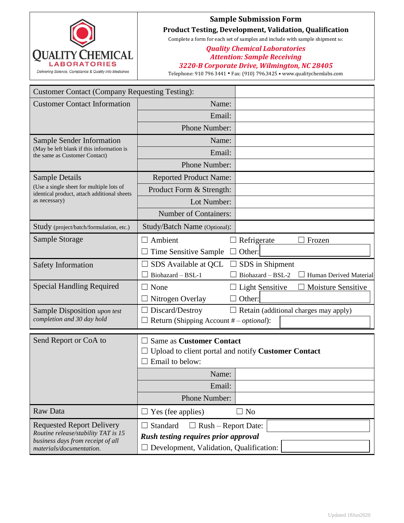

## **Sample Submission Form Product Testing, Development, Validation, Qualification**

Complete a form for each set of samples and include with sample shipment to:

## *Quality Chemical Laboratories Attention: Sample Receiving 3220-B Corporate Drive, Wilmington, NC 28405*

Telephone: 910 796 3441 • Fax: (910) 796.3425 • www.qualitychemlabs.com

| <b>Customer Contact (Company Requesting Testing):</b>                                                        |                                                                                                           |                                             |  |  |  |
|--------------------------------------------------------------------------------------------------------------|-----------------------------------------------------------------------------------------------------------|---------------------------------------------|--|--|--|
| <b>Customer Contact Information</b>                                                                          | Name:                                                                                                     |                                             |  |  |  |
|                                                                                                              | Email:                                                                                                    |                                             |  |  |  |
|                                                                                                              | Phone Number:                                                                                             |                                             |  |  |  |
| <b>Sample Sender Information</b>                                                                             | Name:                                                                                                     |                                             |  |  |  |
| (May be left blank if this information is<br>the same as Customer Contact)                                   | Email:                                                                                                    |                                             |  |  |  |
|                                                                                                              | Phone Number:                                                                                             |                                             |  |  |  |
| <b>Sample Details</b>                                                                                        | <b>Reported Product Name:</b>                                                                             |                                             |  |  |  |
| (Use a single sheet for multiple lots of<br>identical product, attach additional sheets<br>as necessary)     | Product Form & Strength:                                                                                  |                                             |  |  |  |
|                                                                                                              | Lot Number:                                                                                               |                                             |  |  |  |
|                                                                                                              | <b>Number of Containers:</b>                                                                              |                                             |  |  |  |
| Study (project/batch/formulation, etc.)                                                                      | Study/Batch Name (Optional):                                                                              |                                             |  |  |  |
| Sample Storage                                                                                               | Ambient<br>$\perp$                                                                                        | Refrigerate<br>Frozen                       |  |  |  |
|                                                                                                              | Time Sensitive Sample                                                                                     | $\Box$ Other:                               |  |  |  |
| <b>Safety Information</b>                                                                                    | SDS Available at QCL                                                                                      | SDS in Shipment                             |  |  |  |
|                                                                                                              | Biohazard - BSL-1                                                                                         | Biohazard - BSL-2<br>Human Derived Material |  |  |  |
| <b>Special Handling Required</b>                                                                             | None                                                                                                      | Light Sensitive<br>Moisture Sensitive       |  |  |  |
|                                                                                                              | $\Box$ Nitrogen Overlay                                                                                   | Other:                                      |  |  |  |
| Sample Disposition upon test                                                                                 | Discard/Destroy<br>$\Box$ Retain (additional charges may apply)                                           |                                             |  |  |  |
| completion and 30 day hold                                                                                   | Return (Shipping Account $# - optional$ ):                                                                |                                             |  |  |  |
| Send Report or CoA to                                                                                        | <b>Same as Customer Contact</b><br>Upload to client portal and notify Customer Contact<br>Email to below: |                                             |  |  |  |
|                                                                                                              | Name:                                                                                                     |                                             |  |  |  |
|                                                                                                              | Email:                                                                                                    |                                             |  |  |  |
|                                                                                                              | Phone Number:                                                                                             |                                             |  |  |  |
| Raw Data                                                                                                     | $\Box$ Yes (fee applies)                                                                                  | N <sub>o</sub><br>$\blacksquare$            |  |  |  |
| <b>Requested Report Delivery</b><br>Routine release/stability TAT is 15<br>business days from receipt of all | Standard<br>$\Box$ Rush – Report Date:                                                                    |                                             |  |  |  |
|                                                                                                              | <b>Rush testing requires prior approval</b>                                                               |                                             |  |  |  |
| materials/documentation.                                                                                     | Development, Validation, Qualification:                                                                   |                                             |  |  |  |